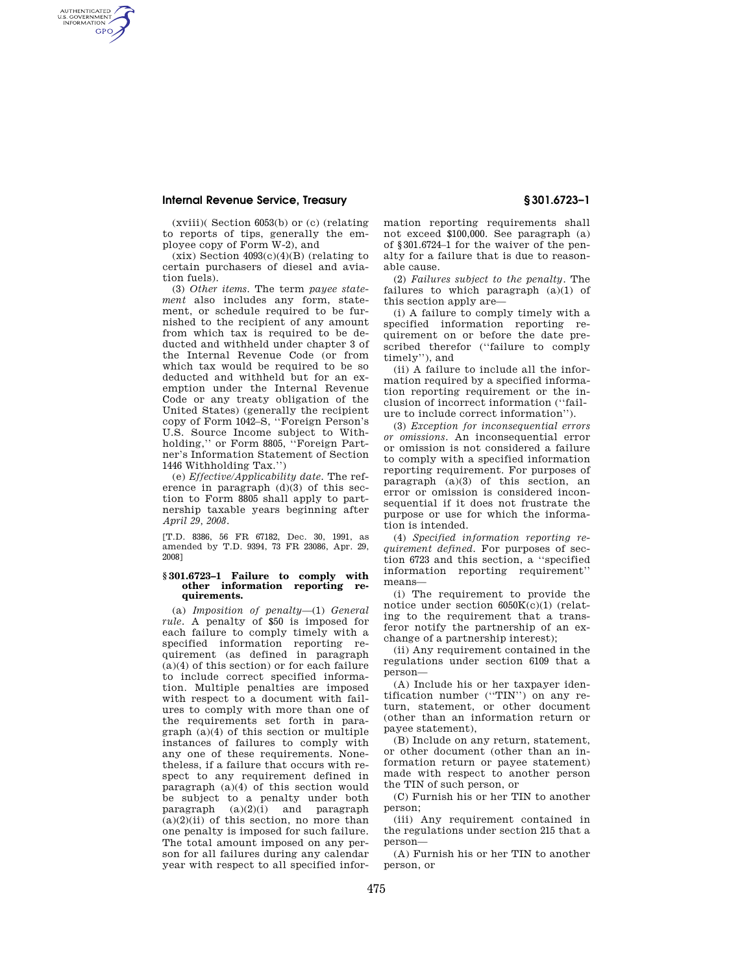## **Internal Revenue Service, Treasury § 301.6723–1**

AUTHENTICATED<br>U.S. GOVERNMENT<br>INFORMATION **GPO** 

> (xviii)( Section 6053(b) or (c) (relating to reports of tips, generally the employee copy of Form W-2), and

> $(xix)$  Section  $4093(c)(4)(B)$  (relating to certain purchasers of diesel and aviation fuels).

(3) *Other items.* The term *payee statement* also includes any form, statement, or schedule required to be furnished to the recipient of any amount from which tax is required to be deducted and withheld under chapter 3 of the Internal Revenue Code (or from which tax would be required to be so deducted and withheld but for an exemption under the Internal Revenue Code or any treaty obligation of the United States) (generally the recipient copy of Form 1042–S, ''Foreign Person's U.S. Source Income subject to Withholding,'' or Form 8805, ''Foreign Partner's Information Statement of Section 1446 Withholding Tax.'')

(e) *Effective/Applicability date.* The reference in paragraph (d)(3) of this section to Form 8805 shall apply to partnership taxable years beginning after *April 29, 2008*.

[T.D. 8386, 56 FR 67182, Dec. 30, 1991, as amended by T.D. 9394, 73 FR 23086, Apr. 29, 2008]

## **§ 301.6723–1 Failure to comply with other information reporting requirements.**

(a) *Imposition of penalty*—(1) *General rule.* A penalty of \$50 is imposed for each failure to comply timely with a specified information reporting requirement (as defined in paragraph  $(a)(4)$  of this section) or for each failure to include correct specified information. Multiple penalties are imposed with respect to a document with failures to comply with more than one of the requirements set forth in paragraph (a)(4) of this section or multiple instances of failures to comply with any one of these requirements. Nonetheless, if a failure that occurs with respect to any requirement defined in paragraph (a)(4) of this section would be subject to a penalty under both paragraph  $(a)(2)(i)$  and paragraph  $(a)(2)(ii)$  of this section, no more than one penalty is imposed for such failure. The total amount imposed on any person for all failures during any calendar year with respect to all specified information reporting requirements shall not exceed \$100,000. See paragraph (a) of §301.6724–1 for the waiver of the penalty for a failure that is due to reasonable cause.

(2) *Failures subject to the penalty.* The failures to which paragraph  $(a)(1)$  of this section apply are—

(i) A failure to comply timely with a specified information reporting requirement on or before the date prescribed therefor ("failure to comply timely''), and

(ii) A failure to include all the information required by a specified information reporting requirement or the inclusion of incorrect information (''failure to include correct information'').

(3) *Exception for inconsequential errors or omissions.* An inconsequential error or omission is not considered a failure to comply with a specified information reporting requirement. For purposes of paragraph (a)(3) of this section, an error or omission is considered inconsequential if it does not frustrate the purpose or use for which the information is intended.

(4) *Specified information reporting requirement defined.* For purposes of section 6723 and this section, a ''specified information reporting requirement'' means—

(i) The requirement to provide the notice under section 6050K(c)(1) (relating to the requirement that a transferor notify the partnership of an exchange of a partnership interest);

(ii) Any requirement contained in the regulations under section 6109 that a person—

(A) Include his or her taxpayer identification number (''TIN'') on any return, statement, or other document (other than an information return or payee statement),

(B) Include on any return, statement, or other document (other than an information return or payee statement) made with respect to another person the TIN of such person, or

(C) Furnish his or her TIN to another person;

(iii) Any requirement contained in the regulations under section 215 that a person—

(A) Furnish his or her TIN to another person, or